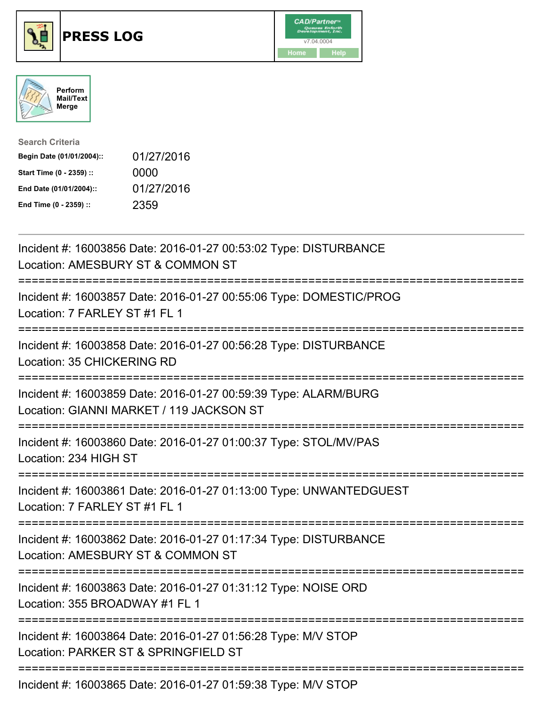





| <b>Search Criteria</b>    |            |
|---------------------------|------------|
| Begin Date (01/01/2004):: | 01/27/2016 |
| Start Time (0 - 2359) ::  | 0000       |
| End Date (01/01/2004)::   | 01/27/2016 |
| End Time (0 - 2359) ::    | 2359       |

| Incident #: 16003856 Date: 2016-01-27 00:53:02 Type: DISTURBANCE<br>Location: AMESBURY ST & COMMON ST                                            |  |
|--------------------------------------------------------------------------------------------------------------------------------------------------|--|
| Incident #: 16003857 Date: 2016-01-27 00:55:06 Type: DOMESTIC/PROG<br>Location: 7 FARLEY ST #1 FL 1                                              |  |
| Incident #: 16003858 Date: 2016-01-27 00:56:28 Type: DISTURBANCE<br>Location: 35 CHICKERING RD<br>========================                       |  |
| Incident #: 16003859 Date: 2016-01-27 00:59:39 Type: ALARM/BURG<br>Location: GIANNI MARKET / 119 JACKSON ST<br>:================================ |  |
| Incident #: 16003860 Date: 2016-01-27 01:00:37 Type: STOL/MV/PAS<br>Location: 234 HIGH ST                                                        |  |
| Incident #: 16003861 Date: 2016-01-27 01:13:00 Type: UNWANTEDGUEST<br>Location: 7 FARLEY ST #1 FL 1                                              |  |
| ======================================<br>Incident #: 16003862 Date: 2016-01-27 01:17:34 Type: DISTURBANCE<br>Location: AMESBURY ST & COMMON ST  |  |
| Incident #: 16003863 Date: 2016-01-27 01:31:12 Type: NOISE ORD<br>Location: 355 BROADWAY #1 FL 1                                                 |  |
| Incident #: 16003864 Date: 2016-01-27 01:56:28 Type: M/V STOP<br>Location: PARKER ST & SPRINGFIELD ST                                            |  |
| $Inoidont + 1600206E$ Data: 2016.01.27.01.50:20 Tuno: MAI CTOD                                                                                   |  |

Incident #: 16003865 Date: 2016-01-27 01:59:38 Type: M/V STOP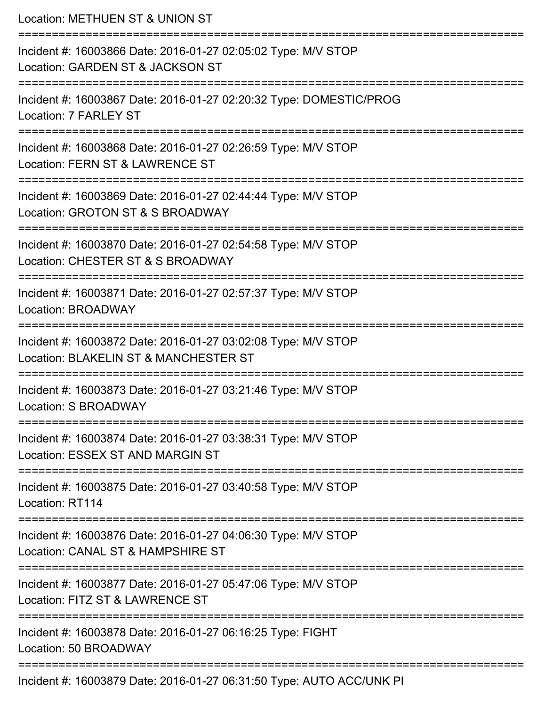| Location: METHUEN ST & UNION ST                                                                                                         |  |
|-----------------------------------------------------------------------------------------------------------------------------------------|--|
| Incident #: 16003866 Date: 2016-01-27 02:05:02 Type: M/V STOP<br>Location: GARDEN ST & JACKSON ST                                       |  |
| Incident #: 16003867 Date: 2016-01-27 02:20:32 Type: DOMESTIC/PROG<br>Location: 7 FARLEY ST                                             |  |
| Incident #: 16003868 Date: 2016-01-27 02:26:59 Type: M/V STOP<br>Location: FERN ST & LAWRENCE ST                                        |  |
| ==================================<br>Incident #: 16003869 Date: 2016-01-27 02:44:44 Type: M/V STOP<br>Location: GROTON ST & S BROADWAY |  |
| Incident #: 16003870 Date: 2016-01-27 02:54:58 Type: M/V STOP<br>Location: CHESTER ST & S BROADWAY                                      |  |
| Incident #: 16003871 Date: 2016-01-27 02:57:37 Type: M/V STOP<br>Location: BROADWAY                                                     |  |
| Incident #: 16003872 Date: 2016-01-27 03:02:08 Type: M/V STOP<br>Location: BLAKELIN ST & MANCHESTER ST                                  |  |
| Incident #: 16003873 Date: 2016-01-27 03:21:46 Type: M/V STOP<br>Location: S BROADWAY                                                   |  |
| :=============================<br>Incident #: 16003874 Date: 2016-01-27 03:38:31 Type: M/V STOP<br>Location: ESSEX ST AND MARGIN ST     |  |
| Incident #: 16003875 Date: 2016-01-27 03:40:58 Type: M/V STOP<br>Location: RT114                                                        |  |
| -----------------------<br>Incident #: 16003876 Date: 2016-01-27 04:06:30 Type: M/V STOP<br>Location: CANAL ST & HAMPSHIRE ST           |  |
| Incident #: 16003877 Date: 2016-01-27 05:47:06 Type: M/V STOP<br>Location: FITZ ST & LAWRENCE ST                                        |  |
| Incident #: 16003878 Date: 2016-01-27 06:16:25 Type: FIGHT<br>Location: 50 BROADWAY                                                     |  |
| Incident #: 16003879 Date: 2016-01-27 06:31:50 Type: AUTO ACC/UNK PI                                                                    |  |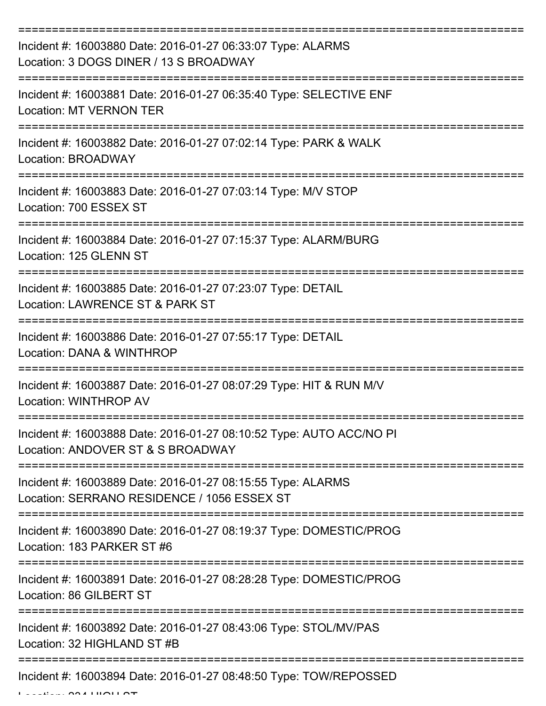| Incident #: 16003880 Date: 2016-01-27 06:33:07 Type: ALARMS<br>Location: 3 DOGS DINER / 13 S BROADWAY      |
|------------------------------------------------------------------------------------------------------------|
| Incident #: 16003881 Date: 2016-01-27 06:35:40 Type: SELECTIVE ENF<br><b>Location: MT VERNON TER</b>       |
| Incident #: 16003882 Date: 2016-01-27 07:02:14 Type: PARK & WALK<br><b>Location: BROADWAY</b>              |
| Incident #: 16003883 Date: 2016-01-27 07:03:14 Type: M/V STOP<br>Location: 700 ESSEX ST                    |
| Incident #: 16003884 Date: 2016-01-27 07:15:37 Type: ALARM/BURG<br>Location: 125 GLENN ST                  |
| Incident #: 16003885 Date: 2016-01-27 07:23:07 Type: DETAIL<br>Location: LAWRENCE ST & PARK ST             |
| Incident #: 16003886 Date: 2016-01-27 07:55:17 Type: DETAIL<br>Location: DANA & WINTHROP                   |
| Incident #: 16003887 Date: 2016-01-27 08:07:29 Type: HIT & RUN M/V<br>Location: WINTHROP AV                |
| Incident #: 16003888 Date: 2016-01-27 08:10:52 Type: AUTO ACC/NO PI<br>Location: ANDOVER ST & S BROADWAY   |
| Incident #: 16003889 Date: 2016-01-27 08:15:55 Type: ALARMS<br>Location: SERRANO RESIDENCE / 1056 ESSEX ST |
| Incident #: 16003890 Date: 2016-01-27 08:19:37 Type: DOMESTIC/PROG<br>Location: 183 PARKER ST #6           |
| Incident #: 16003891 Date: 2016-01-27 08:28:28 Type: DOMESTIC/PROG<br>Location: 86 GILBERT ST              |
| Incident #: 16003892 Date: 2016-01-27 08:43:06 Type: STOL/MV/PAS<br>Location: 32 HIGHLAND ST #B            |
| Incident #: 16003894 Date: 2016-01-27 08:48:50 Type: TOW/REPOSSED                                          |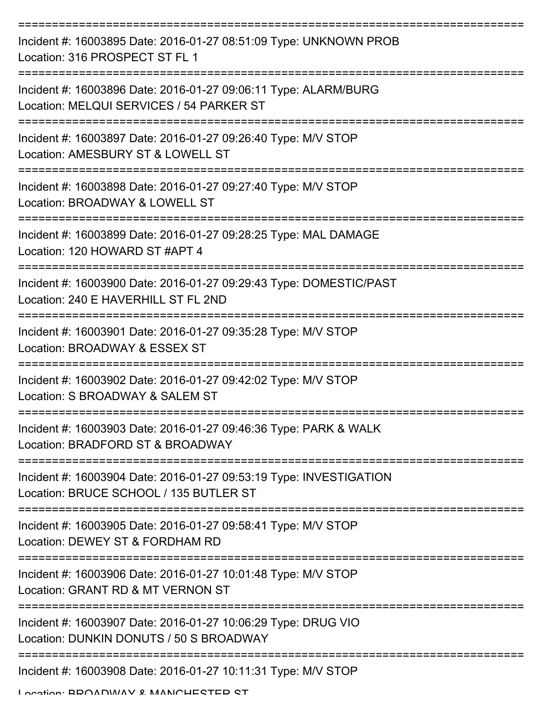| Incident #: 16003895 Date: 2016-01-27 08:51:09 Type: UNKNOWN PROB<br>Location: 316 PROSPECT ST FL 1          |
|--------------------------------------------------------------------------------------------------------------|
| Incident #: 16003896 Date: 2016-01-27 09:06:11 Type: ALARM/BURG<br>Location: MELQUI SERVICES / 54 PARKER ST  |
| Incident #: 16003897 Date: 2016-01-27 09:26:40 Type: M/V STOP<br>Location: AMESBURY ST & LOWELL ST           |
| Incident #: 16003898 Date: 2016-01-27 09:27:40 Type: M/V STOP<br>Location: BROADWAY & LOWELL ST              |
| Incident #: 16003899 Date: 2016-01-27 09:28:25 Type: MAL DAMAGE<br>Location: 120 HOWARD ST #APT 4            |
| Incident #: 16003900 Date: 2016-01-27 09:29:43 Type: DOMESTIC/PAST<br>Location: 240 E HAVERHILL ST FL 2ND    |
| Incident #: 16003901 Date: 2016-01-27 09:35:28 Type: M/V STOP<br>Location: BROADWAY & ESSEX ST               |
| Incident #: 16003902 Date: 2016-01-27 09:42:02 Type: M/V STOP<br>Location: S BROADWAY & SALEM ST             |
| Incident #: 16003903 Date: 2016-01-27 09:46:36 Type: PARK & WALK<br>Location: BRADFORD ST & BROADWAY         |
| Incident #: 16003904 Date: 2016-01-27 09:53:19 Type: INVESTIGATION<br>Location: BRUCE SCHOOL / 135 BUTLER ST |
| Incident #: 16003905 Date: 2016-01-27 09:58:41 Type: M/V STOP<br>Location: DEWEY ST & FORDHAM RD             |
| Incident #: 16003906 Date: 2016-01-27 10:01:48 Type: M/V STOP<br>Location: GRANT RD & MT VERNON ST           |
| Incident #: 16003907 Date: 2016-01-27 10:06:29 Type: DRUG VIO<br>Location: DUNKIN DONUTS / 50 S BROADWAY     |
| Incident #: 16003908 Date: 2016-01-27 10:11:31 Type: M/V STOP                                                |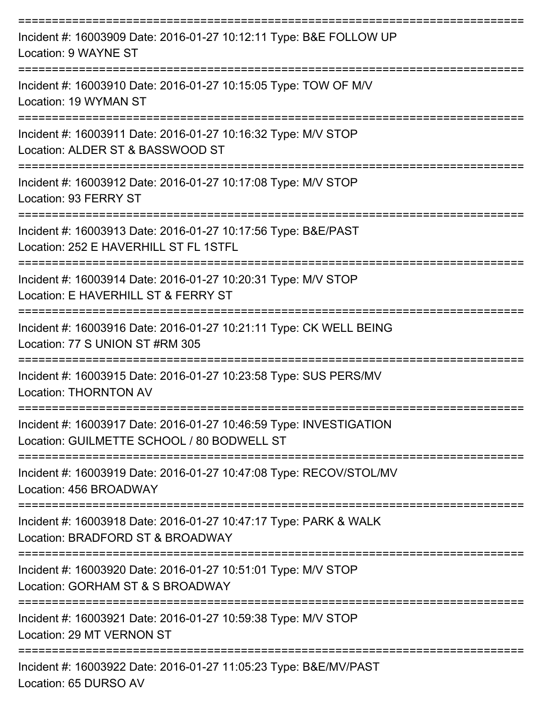| Incident #: 16003909 Date: 2016-01-27 10:12:11 Type: B&E FOLLOW UP<br>Location: 9 WAYNE ST                       |
|------------------------------------------------------------------------------------------------------------------|
| Incident #: 16003910 Date: 2016-01-27 10:15:05 Type: TOW OF M/V<br>Location: 19 WYMAN ST                         |
| Incident #: 16003911 Date: 2016-01-27 10:16:32 Type: M/V STOP<br>Location: ALDER ST & BASSWOOD ST                |
| Incident #: 16003912 Date: 2016-01-27 10:17:08 Type: M/V STOP<br>Location: 93 FERRY ST                           |
| Incident #: 16003913 Date: 2016-01-27 10:17:56 Type: B&E/PAST<br>Location: 252 E HAVERHILL ST FL 1STFL           |
| Incident #: 16003914 Date: 2016-01-27 10:20:31 Type: M/V STOP<br>Location: E HAVERHILL ST & FERRY ST             |
| Incident #: 16003916 Date: 2016-01-27 10:21:11 Type: CK WELL BEING<br>Location: 77 S UNION ST #RM 305            |
| Incident #: 16003915 Date: 2016-01-27 10:23:58 Type: SUS PERS/MV<br><b>Location: THORNTON AV</b>                 |
| Incident #: 16003917 Date: 2016-01-27 10:46:59 Type: INVESTIGATION<br>Location: GUILMETTE SCHOOL / 80 BODWELL ST |
| Incident #: 16003919 Date: 2016-01-27 10:47:08 Type: RECOV/STOL/MV<br>Location: 456 BROADWAY                     |
| Incident #: 16003918 Date: 2016-01-27 10:47:17 Type: PARK & WALK<br>Location: BRADFORD ST & BROADWAY             |
| Incident #: 16003920 Date: 2016-01-27 10:51:01 Type: M/V STOP<br>Location: GORHAM ST & S BROADWAY                |
| Incident #: 16003921 Date: 2016-01-27 10:59:38 Type: M/V STOP<br>Location: 29 MT VERNON ST                       |
| Incident #: 16003922 Date: 2016-01-27 11:05:23 Type: B&E/MV/PAST                                                 |

Location: 65 DURSO AV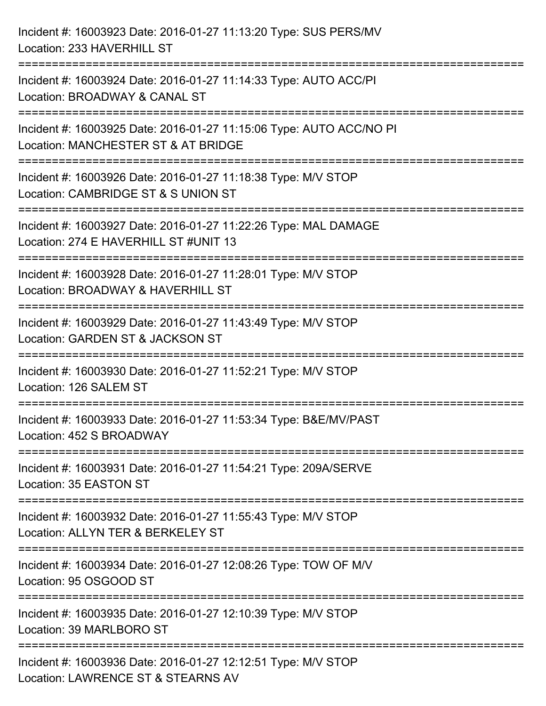| Incident #: 16003923 Date: 2016-01-27 11:13:20 Type: SUS PERS/MV<br>Location: 233 HAVERHILL ST                                                                                                                        |
|-----------------------------------------------------------------------------------------------------------------------------------------------------------------------------------------------------------------------|
| ====================================<br>----------------------------<br>Incident #: 16003924 Date: 2016-01-27 11:14:33 Type: AUTO ACC/PI<br>Location: BROADWAY & CANAL ST<br>-----------------------<br>============= |
| Incident #: 16003925 Date: 2016-01-27 11:15:06 Type: AUTO ACC/NO PI<br>Location: MANCHESTER ST & AT BRIDGE                                                                                                            |
| Incident #: 16003926 Date: 2016-01-27 11:18:38 Type: M/V STOP<br>Location: CAMBRIDGE ST & S UNION ST                                                                                                                  |
| Incident #: 16003927 Date: 2016-01-27 11:22:26 Type: MAL DAMAGE<br>Location: 274 E HAVERHILL ST #UNIT 13                                                                                                              |
| Incident #: 16003928 Date: 2016-01-27 11:28:01 Type: M/V STOP<br>Location: BROADWAY & HAVERHILL ST                                                                                                                    |
| :======================<br>Incident #: 16003929 Date: 2016-01-27 11:43:49 Type: M/V STOP<br>Location: GARDEN ST & JACKSON ST                                                                                          |
| Incident #: 16003930 Date: 2016-01-27 11:52:21 Type: M/V STOP<br>Location: 126 SALEM ST                                                                                                                               |
| Incident #: 16003933 Date: 2016-01-27 11:53:34 Type: B&E/MV/PAST<br>Location: 452 S BROADWAY                                                                                                                          |
| Incident #: 16003931 Date: 2016-01-27 11:54:21 Type: 209A/SERVE<br>Location: 35 EASTON ST                                                                                                                             |
| Incident #: 16003932 Date: 2016-01-27 11:55:43 Type: M/V STOP<br>Location: ALLYN TER & BERKELEY ST                                                                                                                    |
| Incident #: 16003934 Date: 2016-01-27 12:08:26 Type: TOW OF M/V<br>Location: 95 OSGOOD ST                                                                                                                             |
| Incident #: 16003935 Date: 2016-01-27 12:10:39 Type: M/V STOP<br>Location: 39 MARLBORO ST                                                                                                                             |
| Incident #: 16003936 Date: 2016-01-27 12:12:51 Type: M/V STOP<br>Location: LAWRENCE ST & STEARNS AV                                                                                                                   |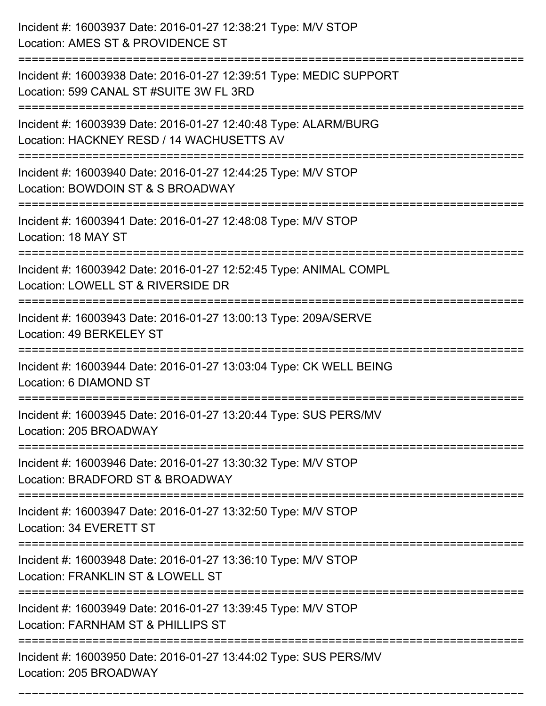| Incident #: 16003937 Date: 2016-01-27 12:38:21 Type: M/V STOP<br>Location: AMES ST & PROVIDENCE ST            |
|---------------------------------------------------------------------------------------------------------------|
| Incident #: 16003938 Date: 2016-01-27 12:39:51 Type: MEDIC SUPPORT<br>Location: 599 CANAL ST #SUITE 3W FL 3RD |
| Incident #: 16003939 Date: 2016-01-27 12:40:48 Type: ALARM/BURG<br>Location: HACKNEY RESD / 14 WACHUSETTS AV  |
| Incident #: 16003940 Date: 2016-01-27 12:44:25 Type: M/V STOP<br>Location: BOWDOIN ST & S BROADWAY            |
| Incident #: 16003941 Date: 2016-01-27 12:48:08 Type: M/V STOP<br>Location: 18 MAY ST                          |
| Incident #: 16003942 Date: 2016-01-27 12:52:45 Type: ANIMAL COMPL<br>Location: LOWELL ST & RIVERSIDE DR       |
| Incident #: 16003943 Date: 2016-01-27 13:00:13 Type: 209A/SERVE<br>Location: 49 BERKELEY ST                   |
| Incident #: 16003944 Date: 2016-01-27 13:03:04 Type: CK WELL BEING<br>Location: 6 DIAMOND ST                  |
| Incident #: 16003945 Date: 2016-01-27 13:20:44 Type: SUS PERS/MV<br>Location: 205 BROADWAY                    |
| Incident #: 16003946 Date: 2016-01-27 13:30:32 Type: M/V STOP<br>Location: BRADFORD ST & BROADWAY             |
| Incident #: 16003947 Date: 2016-01-27 13:32:50 Type: M/V STOP<br>Location: 34 EVERETT ST                      |
| Incident #: 16003948 Date: 2016-01-27 13:36:10 Type: M/V STOP<br>Location: FRANKLIN ST & LOWELL ST            |
| Incident #: 16003949 Date: 2016-01-27 13:39:45 Type: M/V STOP<br>Location: FARNHAM ST & PHILLIPS ST           |
| Incident #: 16003950 Date: 2016-01-27 13:44:02 Type: SUS PERS/MV<br>Location: 205 BROADWAY                    |

===========================================================================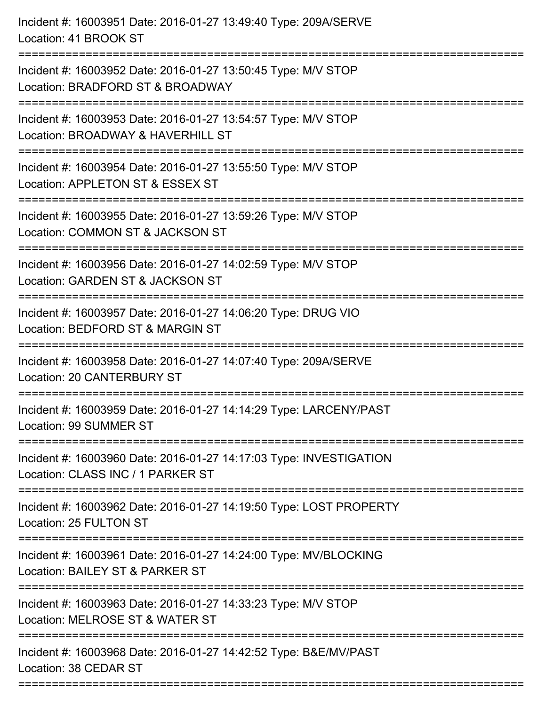| Incident #: 16003951 Date: 2016-01-27 13:49:40 Type: 209A/SERVE<br>Location: 41 BROOK ST                                                 |
|------------------------------------------------------------------------------------------------------------------------------------------|
| Incident #: 16003952 Date: 2016-01-27 13:50:45 Type: M/V STOP<br>Location: BRADFORD ST & BROADWAY                                        |
| Incident #: 16003953 Date: 2016-01-27 13:54:57 Type: M/V STOP<br>Location: BROADWAY & HAVERHILL ST                                       |
| Incident #: 16003954 Date: 2016-01-27 13:55:50 Type: M/V STOP<br>Location: APPLETON ST & ESSEX ST                                        |
| Incident #: 16003955 Date: 2016-01-27 13:59:26 Type: M/V STOP<br>Location: COMMON ST & JACKSON ST<br>=================================== |
| Incident #: 16003956 Date: 2016-01-27 14:02:59 Type: M/V STOP<br>Location: GARDEN ST & JACKSON ST                                        |
| Incident #: 16003957 Date: 2016-01-27 14:06:20 Type: DRUG VIO<br>Location: BEDFORD ST & MARGIN ST                                        |
| Incident #: 16003958 Date: 2016-01-27 14:07:40 Type: 209A/SERVE<br><b>Location: 20 CANTERBURY ST</b>                                     |
| Incident #: 16003959 Date: 2016-01-27 14:14:29 Type: LARCENY/PAST<br>Location: 99 SUMMER ST                                              |
| Incident #: 16003960 Date: 2016-01-27 14:17:03 Type: INVESTIGATION<br>Location: CLASS INC / 1 PARKER ST                                  |
| Incident #: 16003962 Date: 2016-01-27 14:19:50 Type: LOST PROPERTY<br>Location: 25 FULTON ST                                             |
| Incident #: 16003961 Date: 2016-01-27 14:24:00 Type: MV/BLOCKING<br>Location: BAILEY ST & PARKER ST                                      |
| Incident #: 16003963 Date: 2016-01-27 14:33:23 Type: M/V STOP<br>Location: MELROSE ST & WATER ST                                         |
| Incident #: 16003968 Date: 2016-01-27 14:42:52 Type: B&E/MV/PAST<br>Location: 38 CEDAR ST                                                |
|                                                                                                                                          |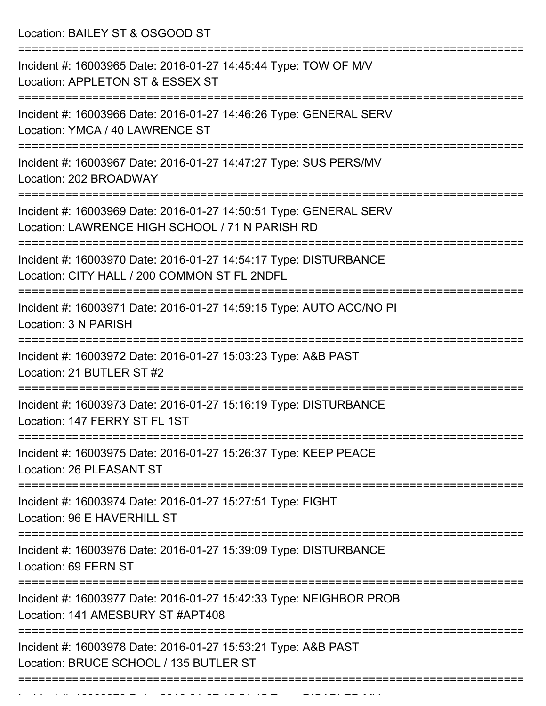Location: BAILEY ST & OSGOOD ST =========================================================================== Incident #: 16003965 Date: 2016-01-27 14:45:44 Type: TOW OF M/V Location: APPLETON ST & ESSEX ST =========================================================================== Incident #: 16003966 Date: 2016-01-27 14:46:26 Type: GENERAL SERV Location: YMCA / 40 LAWRENCE ST =========================================================================== Incident #: 16003967 Date: 2016-01-27 14:47:27 Type: SUS PERS/MV Location: 202 BROADWAY =========================================================================== Incident #: 16003969 Date: 2016-01-27 14:50:51 Type: GENERAL SERV Location: LAWRENCE HIGH SCHOOL / 71 N PARISH RD =========================================================================== Incident #: 16003970 Date: 2016-01-27 14:54:17 Type: DISTURBANCE Location: CITY HALL / 200 COMMON ST FL 2NDFL =========================================================================== Incident #: 16003971 Date: 2016-01-27 14:59:15 Type: AUTO ACC/NO PI Location: 3 N PARISH =========================================================================== Incident #: 16003972 Date: 2016-01-27 15:03:23 Type: A&B PAST Location: 21 BUTLER ST #2 =========================================================================== Incident #: 16003973 Date: 2016-01-27 15:16:19 Type: DISTURBANCE Location: 147 FERRY ST FL 1ST =========================================================================== Incident #: 16003975 Date: 2016-01-27 15:26:37 Type: KEEP PEACE Location: 26 PLEASANT ST =========================================================================== Incident #: 16003974 Date: 2016-01-27 15:27:51 Type: FIGHT Location: 96 E HAVERHILL ST =========================================================================== Incident #: 16003976 Date: 2016-01-27 15:39:09 Type: DISTURBANCE Location: 69 FERN ST =========================================================================== Incident #: 16003977 Date: 2016-01-27 15:42:33 Type: NEIGHBOR PROB Location: 141 AMESBURY ST #APT408 =========================================================================== Incident #: 16003978 Date: 2016-01-27 15:53:21 Type: A&B PAST Location: BRUCE SCHOOL / 135 BUTLER ST ===========================================================================

Incident #: 16003979 Date: 2016 01 27 15:54:45 Type: DISABLED MV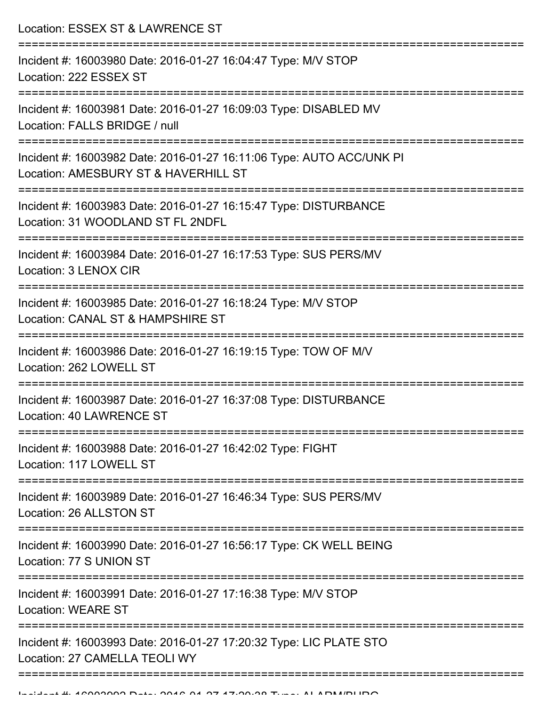Location: ESSEX ST & LAWRENCE ST =========================================================================== Incident #: 16003980 Date: 2016-01-27 16:04:47 Type: M/V STOP Location: 222 ESSEX ST =========================================================================== Incident #: 16003981 Date: 2016-01-27 16:09:03 Type: DISABLED MV Location: FALLS BRIDGE / null =========================================================================== Incident #: 16003982 Date: 2016-01-27 16:11:06 Type: AUTO ACC/UNK PI Location: AMESBURY ST & HAVERHILL ST =========================================================================== Incident #: 16003983 Date: 2016-01-27 16:15:47 Type: DISTURBANCE Location: 31 WOODLAND ST FL 2NDFL =========================================================================== Incident #: 16003984 Date: 2016-01-27 16:17:53 Type: SUS PERS/MV Location: 3 LENOX CIR =========================================================================== Incident #: 16003985 Date: 2016-01-27 16:18:24 Type: M/V STOP Location: CANAL ST & HAMPSHIRE ST =========================================================================== Incident #: 16003986 Date: 2016-01-27 16:19:15 Type: TOW OF M/V Location: 262 LOWELL ST =========================================================================== Incident #: 16003987 Date: 2016-01-27 16:37:08 Type: DISTURBANCE Location: 40 LAWRENCE ST =========================================================================== Incident #: 16003988 Date: 2016-01-27 16:42:02 Type: FIGHT Location: 117 LOWELL ST =========================================================================== Incident #: 16003989 Date: 2016-01-27 16:46:34 Type: SUS PERS/MV Location: 26 ALLSTON ST =========================================================================== Incident #: 16003990 Date: 2016-01-27 16:56:17 Type: CK WELL BEING Location: 77 S UNION ST =========================================================================== Incident #: 16003991 Date: 2016-01-27 17:16:38 Type: M/V STOP Location: WEARE ST =========================================================================== Incident #: 16003993 Date: 2016-01-27 17:20:32 Type: LIC PLATE STO Location: 27 CAMELLA TEOLI WY ===========================================================================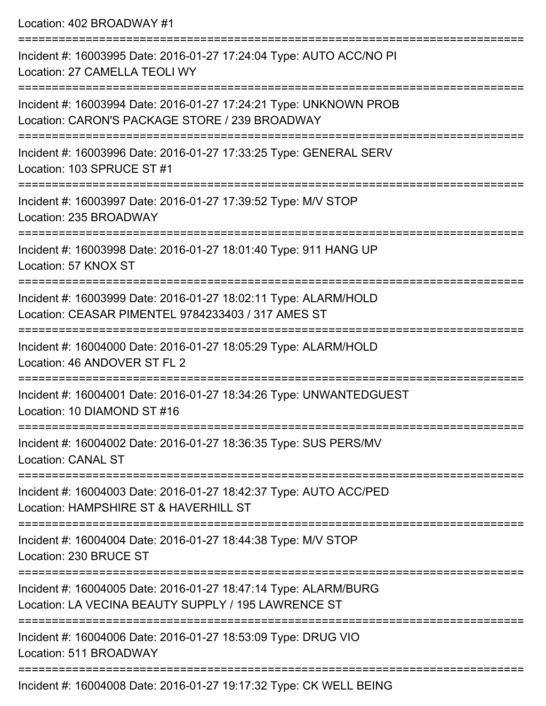Location: 402 BROADWAY #1 =========================================================================== Incident #: 16003995 Date: 2016-01-27 17:24:04 Type: AUTO ACC/NO PI Location: 27 CAMELLA TEOLI WY =========================================================================== Incident #: 16003994 Date: 2016-01-27 17:24:21 Type: UNKNOWN PROB Location: CARON'S PACKAGE STORE / 239 BROADWAY =========================================================================== Incident #: 16003996 Date: 2016-01-27 17:33:25 Type: GENERAL SERV Location: 103 SPRUCE ST #1 =========================================================================== Incident #: 16003997 Date: 2016-01-27 17:39:52 Type: M/V STOP Location: 235 BROADWAY =========================================================================== Incident #: 16003998 Date: 2016-01-27 18:01:40 Type: 911 HANG UP Location: 57 KNOX ST =========================================================================== Incident #: 16003999 Date: 2016-01-27 18:02:11 Type: ALARM/HOLD Location: CEASAR PIMENTEL 9784233403 / 317 AMES ST =========================================================================== Incident #: 16004000 Date: 2016-01-27 18:05:29 Type: ALARM/HOLD Location: 46 ANDOVER ST FL 2 =========================================================================== Incident #: 16004001 Date: 2016-01-27 18:34:26 Type: UNWANTEDGUEST Location: 10 DIAMOND ST #16 =========================================================================== Incident #: 16004002 Date: 2016-01-27 18:36:35 Type: SUS PERS/MV Location: CANAL ST =========================================================================== Incident #: 16004003 Date: 2016-01-27 18:42:37 Type: AUTO ACC/PED Location: HAMPSHIRE ST & HAVERHILL ST =========================================================================== Incident #: 16004004 Date: 2016-01-27 18:44:38 Type: M/V STOP Location: 230 BRUCE ST =========================================================================== Incident #: 16004005 Date: 2016-01-27 18:47:14 Type: ALARM/BURG Location: LA VECINA BEAUTY SUPPLY / 195 LAWRENCE ST =========================================================================== Incident #: 16004006 Date: 2016-01-27 18:53:09 Type: DRUG VIO Location: 511 BROADWAY ===========================================================================

Incident #: 16004008 Date: 2016-01-27 19:17:32 Type: CK WELL BEING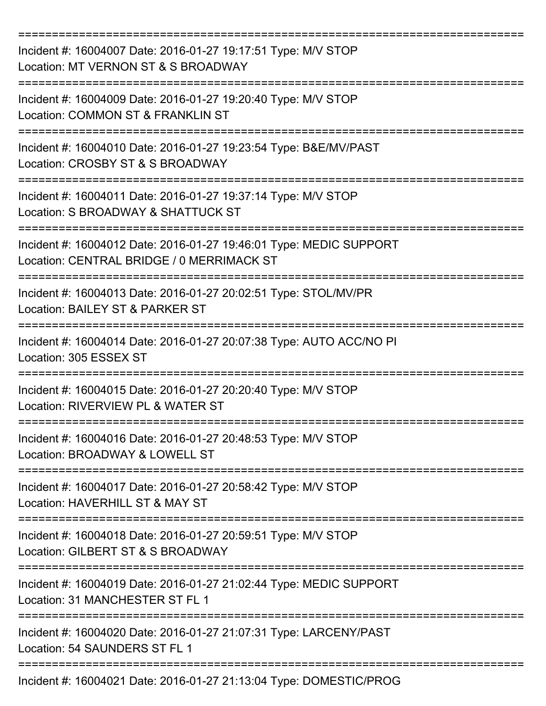| Incident #: 16004007 Date: 2016-01-27 19:17:51 Type: M/V STOP<br>Location: MT VERNON ST & S BROADWAY            |
|-----------------------------------------------------------------------------------------------------------------|
| Incident #: 16004009 Date: 2016-01-27 19:20:40 Type: M/V STOP<br>Location: COMMON ST & FRANKLIN ST              |
| Incident #: 16004010 Date: 2016-01-27 19:23:54 Type: B&E/MV/PAST<br>Location: CROSBY ST & S BROADWAY            |
| Incident #: 16004011 Date: 2016-01-27 19:37:14 Type: M/V STOP<br>Location: S BROADWAY & SHATTUCK ST             |
| Incident #: 16004012 Date: 2016-01-27 19:46:01 Type: MEDIC SUPPORT<br>Location: CENTRAL BRIDGE / 0 MERRIMACK ST |
| Incident #: 16004013 Date: 2016-01-27 20:02:51 Type: STOL/MV/PR<br>Location: BAILEY ST & PARKER ST              |
| Incident #: 16004014 Date: 2016-01-27 20:07:38 Type: AUTO ACC/NO PI<br>Location: 305 ESSEX ST                   |
| Incident #: 16004015 Date: 2016-01-27 20:20:40 Type: M/V STOP<br>Location: RIVERVIEW PL & WATER ST              |
| Incident #: 16004016 Date: 2016-01-27 20:48:53 Type: M/V STOP<br>Location: BROADWAY & LOWELL ST                 |
| Incident #: 16004017 Date: 2016-01-27 20:58:42 Type: M/V STOP<br>Location: HAVERHILL ST & MAY ST                |
| Incident #: 16004018 Date: 2016-01-27 20:59:51 Type: M/V STOP<br>Location: GILBERT ST & S BROADWAY              |
| Incident #: 16004019 Date: 2016-01-27 21:02:44 Type: MEDIC SUPPORT<br>Location: 31 MANCHESTER ST FL 1           |
| Incident #: 16004020 Date: 2016-01-27 21:07:31 Type: LARCENY/PAST<br>Location: 54 SAUNDERS ST FL 1              |
| Incident #: 16004021 Date: 2016-01-27 21:13:04 Type: DOMESTIC/PROG                                              |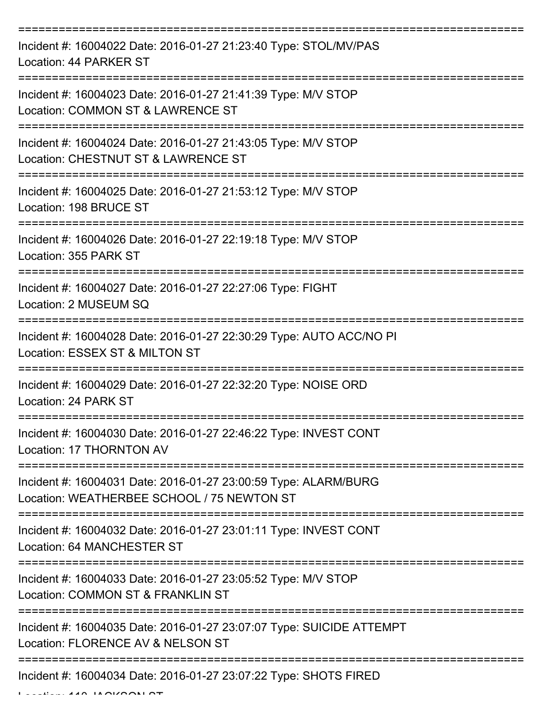| Incident #: 16004022 Date: 2016-01-27 21:23:40 Type: STOL/MV/PAS<br>Location: 44 PARKER ST                    |
|---------------------------------------------------------------------------------------------------------------|
| Incident #: 16004023 Date: 2016-01-27 21:41:39 Type: M/V STOP<br>Location: COMMON ST & LAWRENCE ST            |
| Incident #: 16004024 Date: 2016-01-27 21:43:05 Type: M/V STOP<br>Location: CHESTNUT ST & LAWRENCE ST          |
| Incident #: 16004025 Date: 2016-01-27 21:53:12 Type: M/V STOP<br>Location: 198 BRUCE ST<br>----------------   |
| Incident #: 16004026 Date: 2016-01-27 22:19:18 Type: M/V STOP<br>Location: 355 PARK ST                        |
| Incident #: 16004027 Date: 2016-01-27 22:27:06 Type: FIGHT<br>Location: 2 MUSEUM SQ                           |
| Incident #: 16004028 Date: 2016-01-27 22:30:29 Type: AUTO ACC/NO PI<br>Location: ESSEX ST & MILTON ST         |
| Incident #: 16004029 Date: 2016-01-27 22:32:20 Type: NOISE ORD<br>Location: 24 PARK ST                        |
| Incident #: 16004030 Date: 2016-01-27 22:46:22 Type: INVEST CONT<br>Location: 17 THORNTON AV                  |
| Incident #: 16004031 Date: 2016-01-27 23:00:59 Type: ALARM/BURG<br>Location: WEATHERBEE SCHOOL / 75 NEWTON ST |
| Incident #: 16004032 Date: 2016-01-27 23:01:11 Type: INVEST CONT<br><b>Location: 64 MANCHESTER ST</b>         |
| Incident #: 16004033 Date: 2016-01-27 23:05:52 Type: M/V STOP<br>Location: COMMON ST & FRANKLIN ST            |
| Incident #: 16004035 Date: 2016-01-27 23:07:07 Type: SUICIDE ATTEMPT<br>Location: FLORENCE AV & NELSON ST     |
| Incident #: 16004034 Date: 2016-01-27 23:07:22 Type: SHOTS FIRED                                              |

Location: 110 JACKSON ST